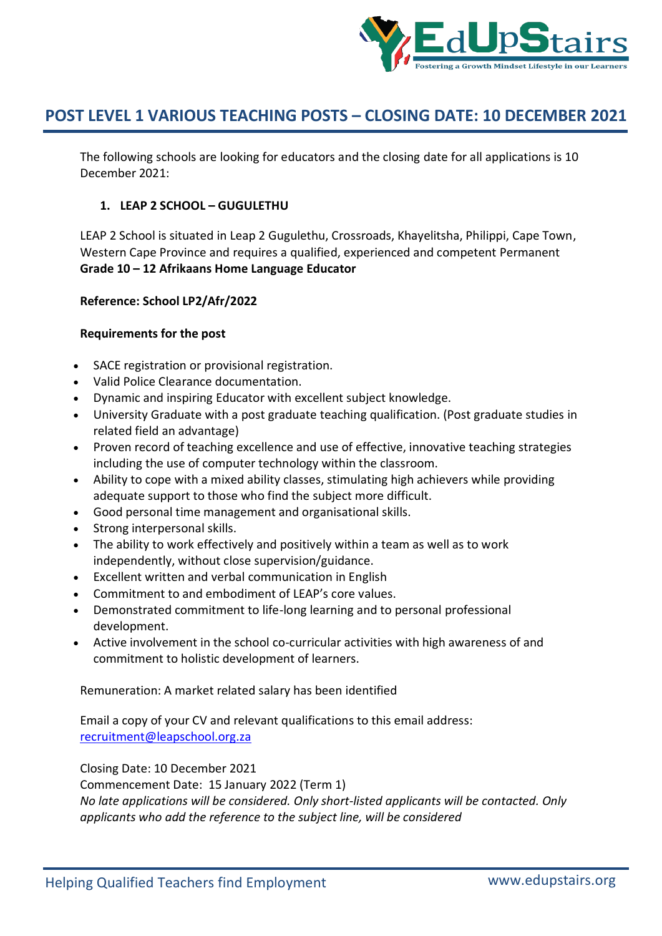

The following schools are looking for educators and the closing date for all applications is 10 December 2021:

## **1. LEAP 2 SCHOOL – GUGULETHU**

LEAP 2 School is situated in Leap 2 Gugulethu, Crossroads, Khayelitsha, Philippi, Cape Town, Western Cape Province and requires a qualified, experienced and competent Permanent **Grade 10 – 12 Afrikaans Home Language Educator**

## **Reference: School LP2/Afr/2022**

### **Requirements for the post**

- SACE registration or provisional registration.
- Valid Police Clearance documentation.
- Dynamic and inspiring Educator with excellent subject knowledge.
- University Graduate with a post graduate teaching qualification. (Post graduate studies in related field an advantage)
- Proven record of teaching excellence and use of effective, innovative teaching strategies including the use of computer technology within the classroom.
- Ability to cope with a mixed ability classes, stimulating high achievers while providing adequate support to those who find the subject more difficult.
- Good personal time management and organisational skills.
- Strong interpersonal skills.
- The ability to work effectively and positively within a team as well as to work independently, without close supervision/guidance.
- Excellent written and verbal communication in English
- Commitment to and embodiment of LEAP's core values.
- Demonstrated commitment to life-long learning and to personal professional development.
- Active involvement in the school co-curricular activities with high awareness of and commitment to holistic development of learners.

Remuneration: A market related salary has been identified

Email a copy of your CV and relevant qualifications to this email address: recruitment@leapschool.org.za

Closing Date: 10 December 2021

Commencement Date: 15 January 2022 (Term 1)

*No late applications will be considered. Only short-listed applicants will be contacted. Only applicants who add the reference to the subject line, will be considered*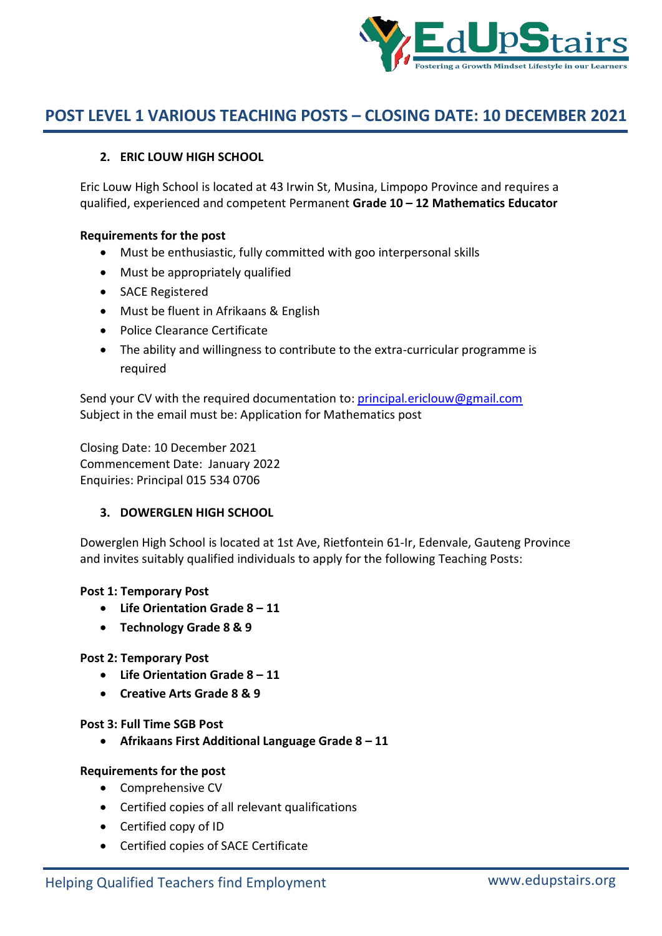

## **2. ERIC LOUW HIGH SCHOOL**

Eric Louw High School is located at 43 Irwin St, Musina, Limpopo Province and requires a qualified, experienced and competent Permanent **Grade 10 – 12 Mathematics Educator**

### **Requirements for the post**

- Must be enthusiastic, fully committed with goo interpersonal skills
- Must be appropriately qualified
- SACE Registered
- Must be fluent in Afrikaans & English
- Police Clearance Certificate
- The ability and willingness to contribute to the extra-curricular programme is required

Send your CV with the required documentation to: principal.ericlouw@gmail.com Subject in the email must be: Application for Mathematics post

Closing Date: 10 December 2021 Commencement Date: January 2022 Enquiries: Principal 015 534 0706

## **3. DOWERGLEN HIGH SCHOOL**

Dowerglen High School is located at 1st Ave, Rietfontein 61-Ir, Edenvale, Gauteng Province and invites suitably qualified individuals to apply for the following Teaching Posts:

#### **Post 1: Temporary Post**

- **Life Orientation Grade 8 – 11**
- **Technology Grade 8 & 9**

## **Post 2: Temporary Post**

- **Life Orientation Grade 8 – 11**
- **Creative Arts Grade 8 & 9**

**Post 3: Full Time SGB Post**

**Afrikaans First Additional Language Grade 8 – 11**

## **Requirements for the post**

- Comprehensive CV
- Certified copies of all relevant qualifications
- Certified copy of ID
- Certified copies of SACE Certificate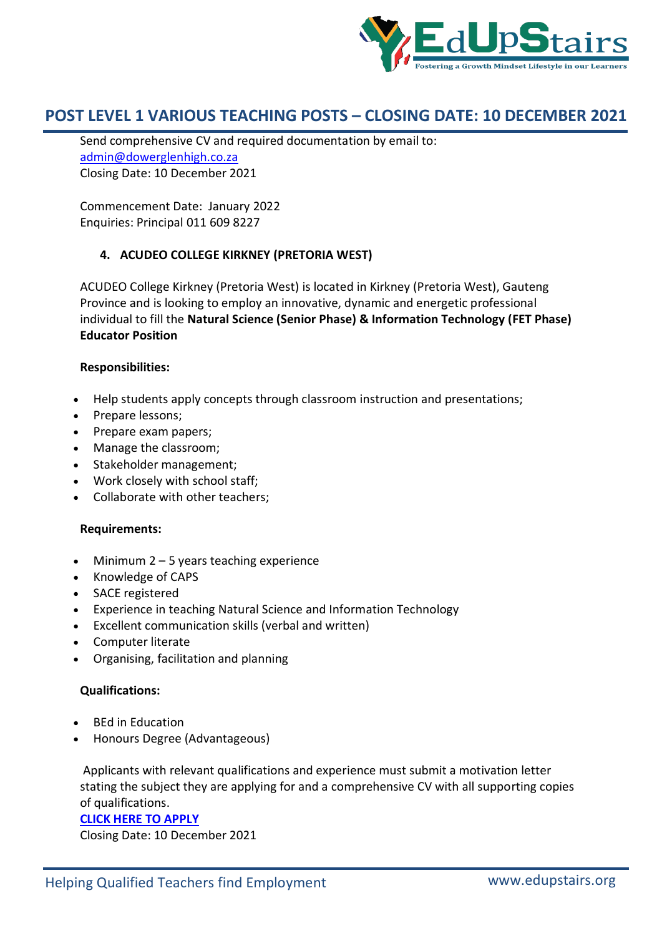

Send comprehensive CV and required documentation by email to: admin@dowerglenhigh.co.za Closing Date: 10 December 2021

Commencement Date: January 2022 Enquiries: Principal 011 609 8227

## **4. ACUDEO COLLEGE KIRKNEY (PRETORIA WEST)**

ACUDEO College Kirkney (Pretoria West) is located in Kirkney (Pretoria West), Gauteng Province and is looking to employ an innovative, dynamic and energetic professional individual to fill the **Natural Science (Senior Phase) & Information Technology (FET Phase) Educator Position**

## **Responsibilities:**

- Help students apply concepts through classroom instruction and presentations;
- Prepare lessons;
- Prepare exam papers;
- Manage the classroom;
- Stakeholder management;
- Work closely with school staff;
- Collaborate with other teachers;

## **Requirements:**

- $\bullet$  Minimum 2 5 years teaching experience
- Knowledge of CAPS
- SACE registered
- Experience in teaching Natural Science and Information Technology
- Excellent communication skills (verbal and written)
- Computer literate
- Organising, facilitation and planning

## **Qualifications:**

- BEd in Education
- Honours Degree (Advantageous)

Applicants with relevant qualifications and experience must submit a motivation letter stating the subject they are applying for and a comprehensive CV with all supporting copies of qualifications.

#### **CLICK HERE TO APPLY**

Closing Date: 10 December 2021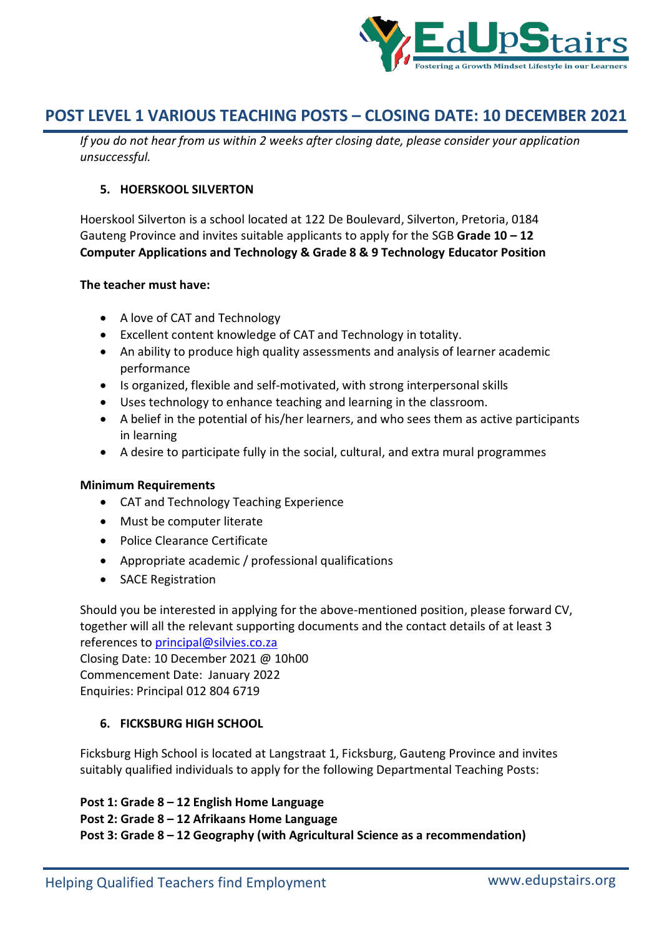

*If you do not hear from us within 2 weeks after closing date, please consider your application unsuccessful.*

## **5. HOERSKOOL SILVERTON**

Hoerskool Silverton is a school located at 122 De Boulevard, Silverton, Pretoria, 0184 Gauteng Province and invites suitable applicants to apply for the SGB **Grade 10 – 12 Computer Applications and Technology & Grade 8 & 9 Technology Educator Position**

### **The teacher must have:**

- A love of CAT and Technology
- Excellent content knowledge of CAT and Technology in totality.
- An ability to produce high quality assessments and analysis of learner academic performance
- Is organized, flexible and self-motivated, with strong interpersonal skills
- Uses technology to enhance teaching and learning in the classroom.
- A belief in the potential of his/her learners, and who sees them as active participants in learning
- A desire to participate fully in the social, cultural, and extra mural programmes

## **Minimum Requirements**

- CAT and Technology Teaching Experience
- Must be computer literate
- Police Clearance Certificate
- Appropriate academic / professional qualifications
- SACE Registration

Should you be interested in applying for the above-mentioned position, please forward CV, together will all the relevant supporting documents and the contact details of at least 3 references to principal@silvies.co.za Closing Date: 10 December 2021 @ 10h00 Commencement Date: January 2022 Enquiries: Principal 012 804 6719

## **6. FICKSBURG HIGH SCHOOL**

Ficksburg High School is located at Langstraat 1, Ficksburg, Gauteng Province and invites suitably qualified individuals to apply for the following Departmental Teaching Posts:

**Post 1: Grade 8 – 12 English Home Language Post 2: Grade 8 – 12 Afrikaans Home Language Post 3: Grade 8 – 12 Geography (with Agricultural Science as a recommendation)**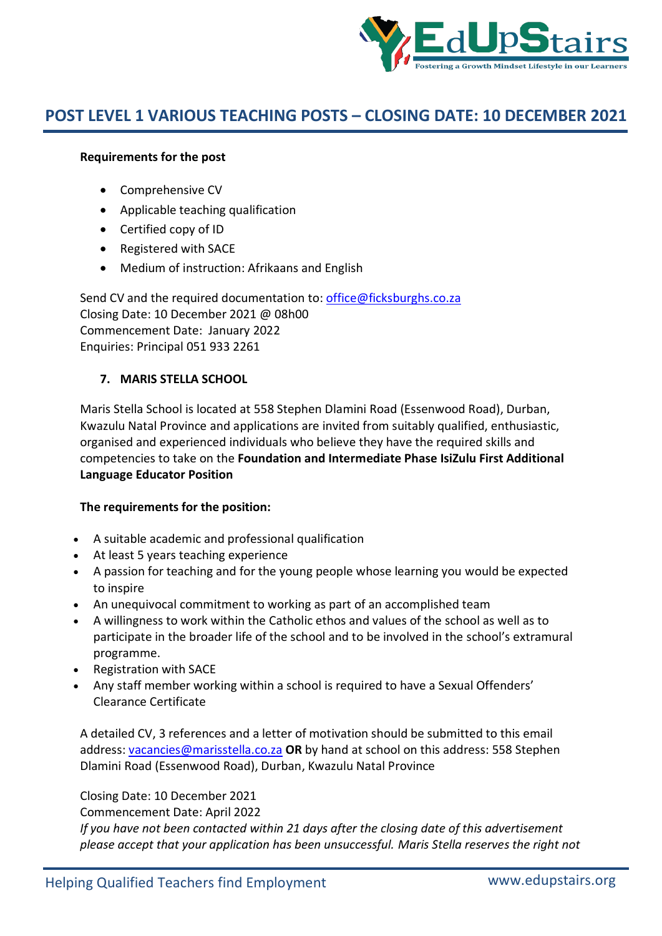

## **Requirements for the post**

- Comprehensive CV
- Applicable teaching qualification
- Certified copy of ID
- Registered with SACE
- Medium of instruction: Afrikaans and English

Send CV and the required documentation to: office@ficksburghs.co.za Closing Date: 10 December 2021 @ 08h00 Commencement Date: January 2022 Enquiries: Principal 051 933 2261

## **7. MARIS STELLA SCHOOL**

Maris Stella School is located at 558 Stephen Dlamini Road (Essenwood Road), Durban, Kwazulu Natal Province and applications are invited from suitably qualified, enthusiastic, organised and experienced individuals who believe they have the required skills and competencies to take on the **Foundation and Intermediate Phase IsiZulu First Additional Language Educator Position**

## **The requirements for the position:**

- A suitable academic and professional qualification
- At least 5 years teaching experience
- A passion for teaching and for the young people whose learning you would be expected to inspire
- An unequivocal commitment to working as part of an accomplished team
- A willingness to work within the Catholic ethos and values of the school as well as to participate in the broader life of the school and to be involved in the school's extramural programme.
- Registration with SACE
- Any staff member working within a school is required to have a Sexual Offenders' Clearance Certificate

A detailed CV, 3 references and a letter of motivation should be submitted to this email address: vacancies@marisstella.co.za **OR** by hand at school on this address: 558 Stephen Dlamini Road (Essenwood Road), Durban, Kwazulu Natal Province

Closing Date: 10 December 2021

Commencement Date: April 2022

*If you have not been contacted within 21 days after the closing date of this advertisement please accept that your application has been unsuccessful. Maris Stella reserves the right not*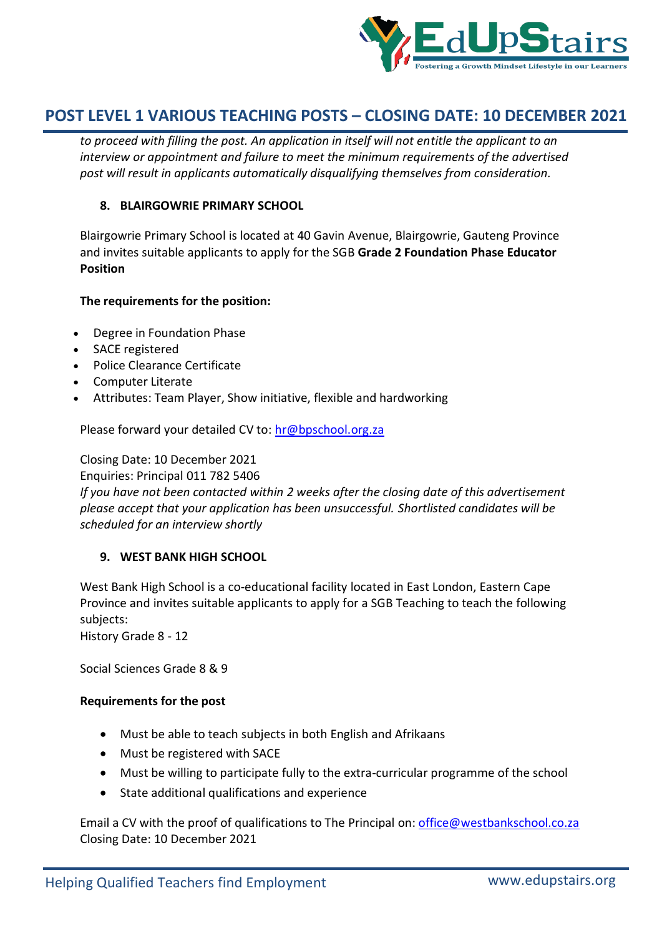

*to proceed with filling the post. An application in itself will not entitle the applicant to an interview or appointment and failure to meet the minimum requirements of the advertised post will result in applicants automatically disqualifying themselves from consideration.*

### **8. BLAIRGOWRIE PRIMARY SCHOOL**

Blairgowrie Primary School is located at 40 Gavin Avenue, Blairgowrie, Gauteng Province and invites suitable applicants to apply for the SGB **Grade 2 Foundation Phase Educator Position**

### **The requirements for the position:**

- Degree in Foundation Phase
- SACE registered
- Police Clearance Certificate
- Computer Literate
- Attributes: Team Player, Show initiative, flexible and hardworking

Please forward your detailed CV to: hr@bpschool.org.za

Closing Date: 10 December 2021

Enquiries: Principal 011 782 5406

*If you have not been contacted within 2 weeks after the closing date of this advertisement please accept that your application has been unsuccessful. Shortlisted candidates will be scheduled for an interview shortly*

#### **9. WEST BANK HIGH SCHOOL**

West Bank High School is a co-educational facility located in East London, Eastern Cape Province and invites suitable applicants to apply for a SGB Teaching to teach the following subjects:

History Grade 8 - 12

Social Sciences Grade 8 & 9

#### **Requirements for the post**

- Must be able to teach subjects in both English and Afrikaans
- Must be registered with SACE
- Must be willing to participate fully to the extra-curricular programme of the school
- State additional qualifications and experience

Email a CV with the proof of qualifications to The Principal on: office@westbankschool.co.za Closing Date: 10 December 2021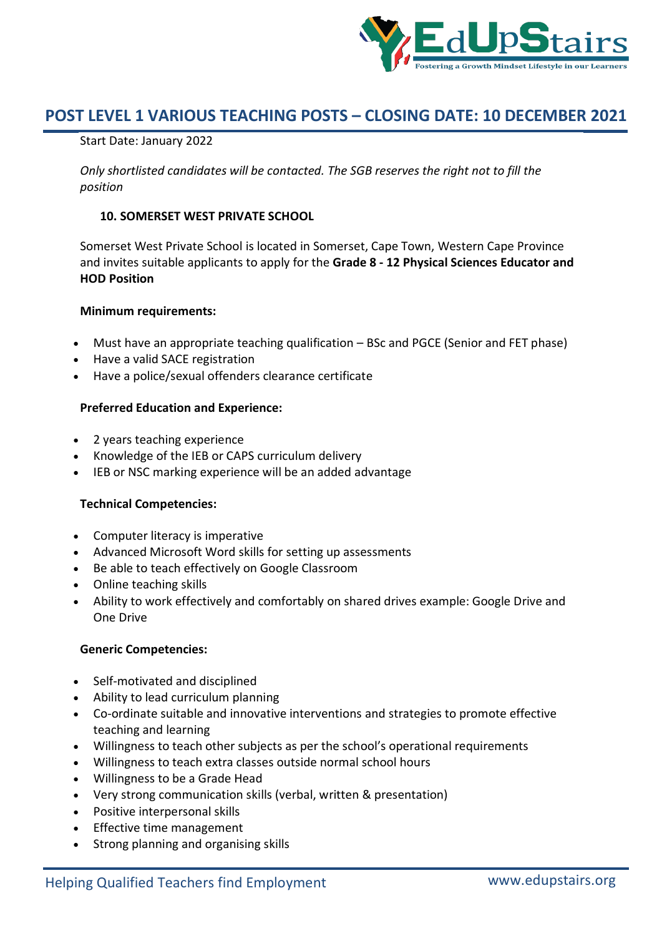

### Start Date: January 2022

*Only shortlisted candidates will be contacted. The SGB reserves the right not to fill the position*

### **10. SOMERSET WEST PRIVATE SCHOOL**

Somerset West Private School is located in Somerset, Cape Town, Western Cape Province and invites suitable applicants to apply for the **Grade 8 - 12 Physical Sciences Educator and HOD Position**

#### **Minimum requirements:**

- Must have an appropriate teaching qualification BSc and PGCE (Senior and FET phase)
- Have a valid SACE registration
- Have a police/sexual offenders clearance certificate

### **Preferred Education and Experience:**

- 2 years teaching experience
- Knowledge of the IEB or CAPS curriculum delivery
- IEB or NSC marking experience will be an added advantage

#### **Technical Competencies:**

- Computer literacy is imperative
- Advanced Microsoft Word skills for setting up assessments
- Be able to teach effectively on Google Classroom
- Online teaching skills
- Ability to work effectively and comfortably on shared drives example: Google Drive and One Drive

#### **Generic Competencies:**

- Self-motivated and disciplined
- Ability to lead curriculum planning
- Co-ordinate suitable and innovative interventions and strategies to promote effective teaching and learning
- Willingness to teach other subjects as per the school's operational requirements
- Willingness to teach extra classes outside normal school hours
- Willingness to be a Grade Head
- Very strong communication skills (verbal, written & presentation)
- Positive interpersonal skills
- Effective time management
- Strong planning and organising skills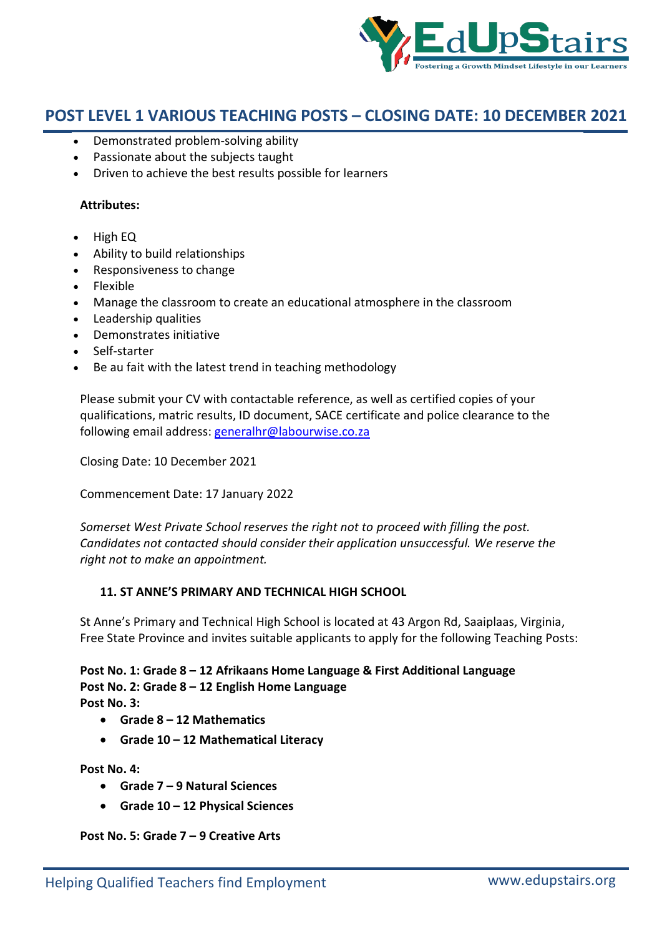

- Demonstrated problem-solving ability
- Passionate about the subjects taught
- Driven to achieve the best results possible for learners

### **Attributes:**

- $\bullet$  High EQ
- Ability to build relationships
- Responsiveness to change
- Flexible
- Manage the classroom to create an educational atmosphere in the classroom
- Leadership qualities
- Demonstrates initiative
- Self-starter
- Be au fait with the latest trend in teaching methodology

Please submit your CV with contactable reference, as well as certified copies of your qualifications, matric results, ID document, SACE certificate and police clearance to the following email address: generalhr@labourwise.co.za

Closing Date: 10 December 2021

Commencement Date: 17 January 2022

*Somerset West Private School reserves the right not to proceed with filling the post. Candidates not contacted should consider their application unsuccessful. We reserve the right not to make an appointment.*

## **11. ST ANNE'S PRIMARY AND TECHNICAL HIGH SCHOOL**

St Anne's Primary and Technical High School is located at 43 Argon Rd, Saaiplaas, Virginia, Free State Province and invites suitable applicants to apply for the following Teaching Posts:

**Post No. 1: Grade 8 – 12 Afrikaans Home Language & First Additional Language Post No. 2: Grade 8 – 12 English Home Language Post No. 3:** 

- **Grade 8 – 12 Mathematics**
- **Grade 10 – 12 Mathematical Literacy**

**Post No. 4:** 

- **Grade 7 – 9 Natural Sciences**
- **Grade 10 – 12 Physical Sciences**

**Post No. 5: Grade 7 – 9 Creative Arts**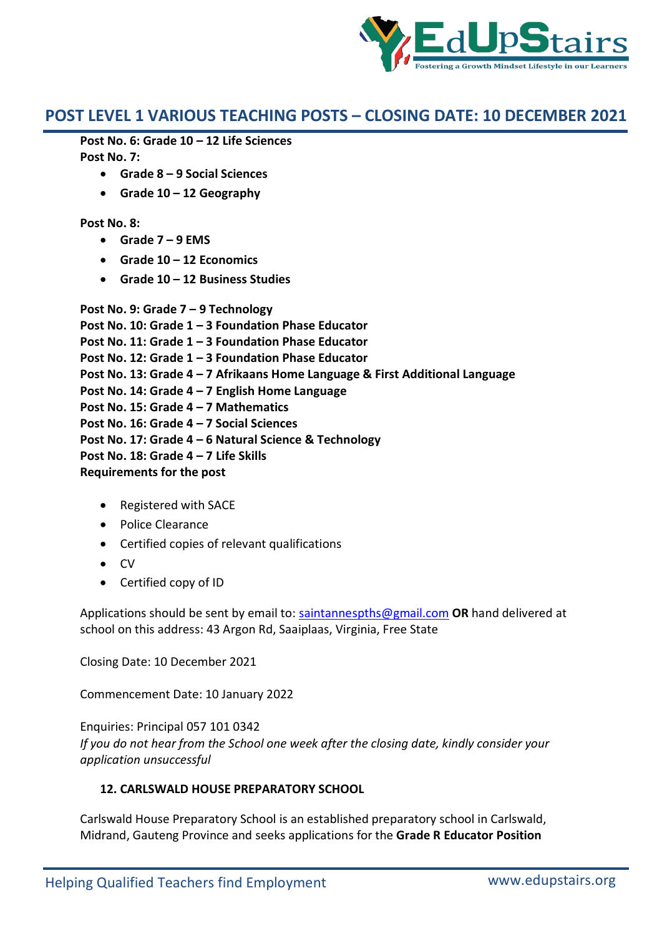

**Post No. 6: Grade 10 – 12 Life Sciences Post No. 7:** 

- **Grade 8 – 9 Social Sciences**
- **Grade 10 – 12 Geography**

### **Post No. 8:**

- **Grade 7 – 9 EMS**
- **Grade 10 – 12 Economics**
- **Grade 10 – 12 Business Studies**

**Post No. 9: Grade 7 – 9 Technology Post No. 10: Grade 1 – 3 Foundation Phase Educator Post No. 11: Grade 1 – 3 Foundation Phase Educator Post No. 12: Grade 1 – 3 Foundation Phase Educator Post No. 13: Grade 4 – 7 Afrikaans Home Language & First Additional Language Post No. 14: Grade 4 – 7 English Home Language Post No. 15: Grade 4 – 7 Mathematics Post No. 16: Grade 4 – 7 Social Sciences Post No. 17: Grade 4 – 6 Natural Science & Technology Post No. 18: Grade 4 – 7 Life Skills**

**Requirements for the post**

- Registered with SACE
- Police Clearance
- Certified copies of relevant qualifications
- $\bullet$  CV
- Certified copy of ID

Applications should be sent by email to: saintannespths@gmail.com **OR** hand delivered at school on this address: 43 Argon Rd, Saaiplaas, Virginia, Free State

Closing Date: 10 December 2021

Commencement Date: 10 January 2022

Enquiries: Principal 057 101 0342 *If you do not hear from the School one week after the closing date, kindly consider your application unsuccessful*

## **12. CARLSWALD HOUSE PREPARATORY SCHOOL**

Carlswald House Preparatory School is an established preparatory school in Carlswald, Midrand, Gauteng Province and seeks applications for the **Grade R Educator Position**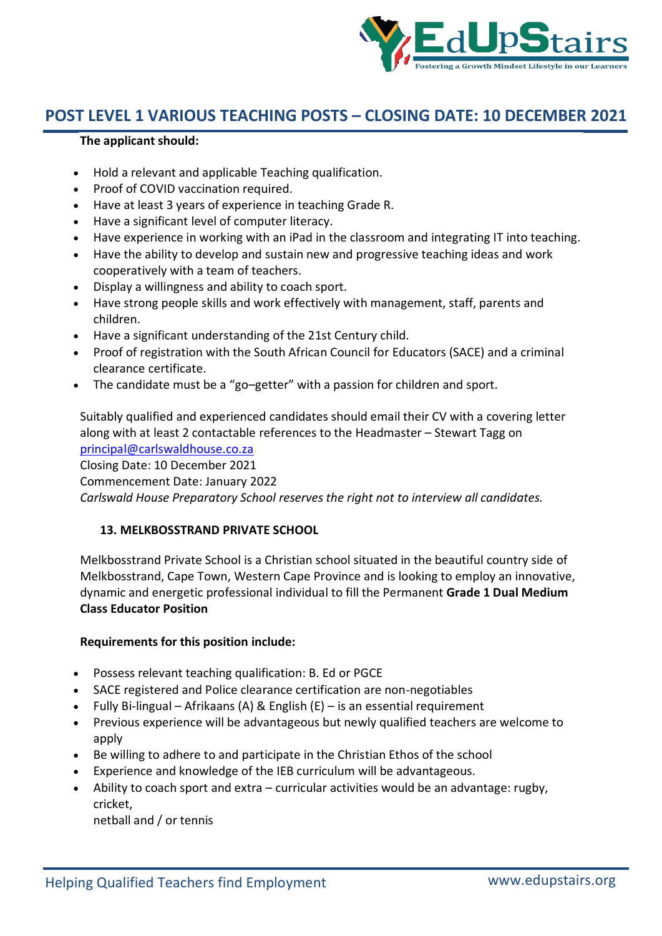

## **The applicant should:**

- Hold a relevant and applicable Teaching qualification.
- Proof of COVID vaccination required.
- Have at least 3 years of experience in teaching Grade R.
- Have a significant level of computer literacy.
- Have experience in working with an iPad in the classroom and integrating IT into teaching.
- Have the ability to develop and sustain new and progressive teaching ideas and work cooperatively with a team of teachers.
- Display a willingness and ability to coach sport.
- Have strong people skills and work effectively with management, staff, parents and children.
- Have a significant understanding of the 21st Century child.
- Proof of registration with the South African Council for Educators (SACE) and a criminal clearance certificate.
- The candidate must be a "go–getter" with a passion for children and sport.

Suitably qualified and experienced candidates should email their CV with a covering letter along with at least 2 contactable references to the Headmaster – Stewart Tagg on principal@carlswaldhouse.co.za Closing Date: 10 December 2021 Commencement Date: January 2022 *Carlswald House Preparatory School reserves the right not to interview all candidates.*

## **13. MELKBOSSTRAND PRIVATE SCHOOL**

Melkbosstrand Private School is a Christian school situated in the beautiful country side of Melkbosstrand, Cape Town, Western Cape Province and is looking to employ an innovative, dynamic and energetic professional individual to fill the Permanent **Grade 1 Dual Medium Class Educator Position**

## **Requirements for this position include:**

- Possess relevant teaching qualification: B. Ed or PGCE
- SACE registered and Police clearance certification are non-negotiables
- Fully Bi-lingual Afrikaans (A) & English  $(E)$  is an essential requirement
- Previous experience will be advantageous but newly qualified teachers are welcome to apply
- Be willing to adhere to and participate in the Christian Ethos of the school
- Experience and knowledge of the IEB curriculum will be advantageous.
- Ability to coach sport and extra curricular activities would be an advantage: rugby, cricket,

netball and / or tennis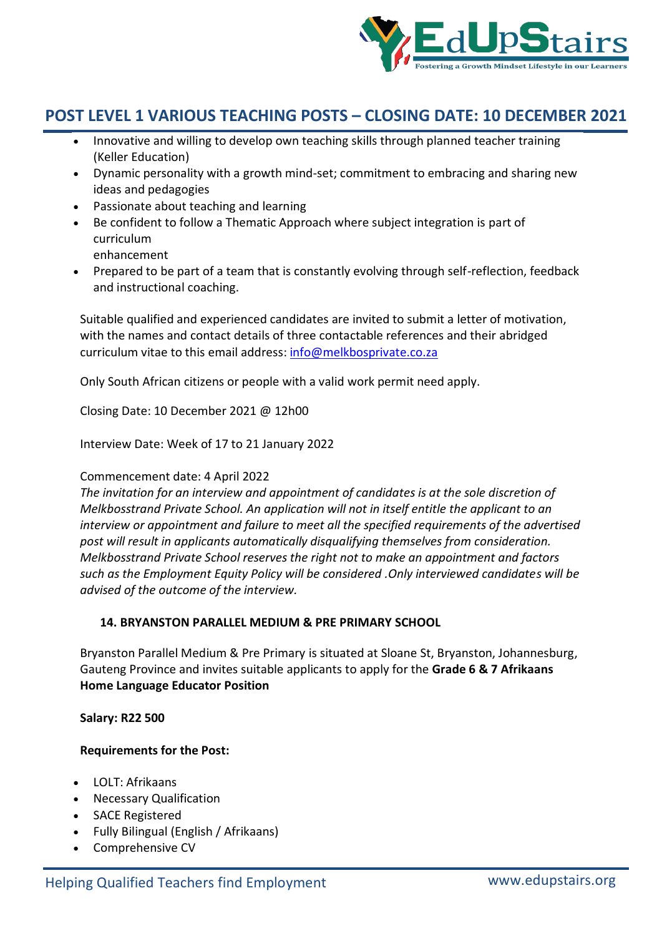

- Innovative and willing to develop own teaching skills through planned teacher training (Keller Education)
- Dynamic personality with a growth mind-set; commitment to embracing and sharing new ideas and pedagogies
- Passionate about teaching and learning
- Be confident to follow a Thematic Approach where subject integration is part of curriculum

enhancement

 Prepared to be part of a team that is constantly evolving through self-reflection, feedback and instructional coaching.

Suitable qualified and experienced candidates are invited to submit a letter of motivation, with the names and contact details of three contactable references and their abridged curriculum vitae to this email address: info@melkbosprivate.co.za

Only South African citizens or people with a valid work permit need apply.

Closing Date: 10 December 2021 @ 12h00

Interview Date: Week of 17 to 21 January 2022

## Commencement date: 4 April 2022

*The invitation for an interview and appointment of candidates is at the sole discretion of Melkbosstrand Private School. An application will not in itself entitle the applicant to an interview or appointment and failure to meet all the specified requirements of the advertised post will result in applicants automatically disqualifying themselves from consideration. Melkbosstrand Private School reserves the right not to make an appointment and factors such as the Employment Equity Policy will be considered .Only interviewed candidates will be advised of the outcome of the interview.*

## **14. BRYANSTON PARALLEL MEDIUM & PRE PRIMARY SCHOOL**

Bryanston Parallel Medium & Pre Primary is situated at Sloane St, Bryanston, Johannesburg, Gauteng Province and invites suitable applicants to apply for the **Grade 6 & 7 Afrikaans Home Language Educator Position** 

#### **Salary: R22 500**

## **Requirements for the Post:**

- LOLT: Afrikaans
- Necessary Qualification
- SACE Registered
- Fully Bilingual (English / Afrikaans)
- Comprehensive CV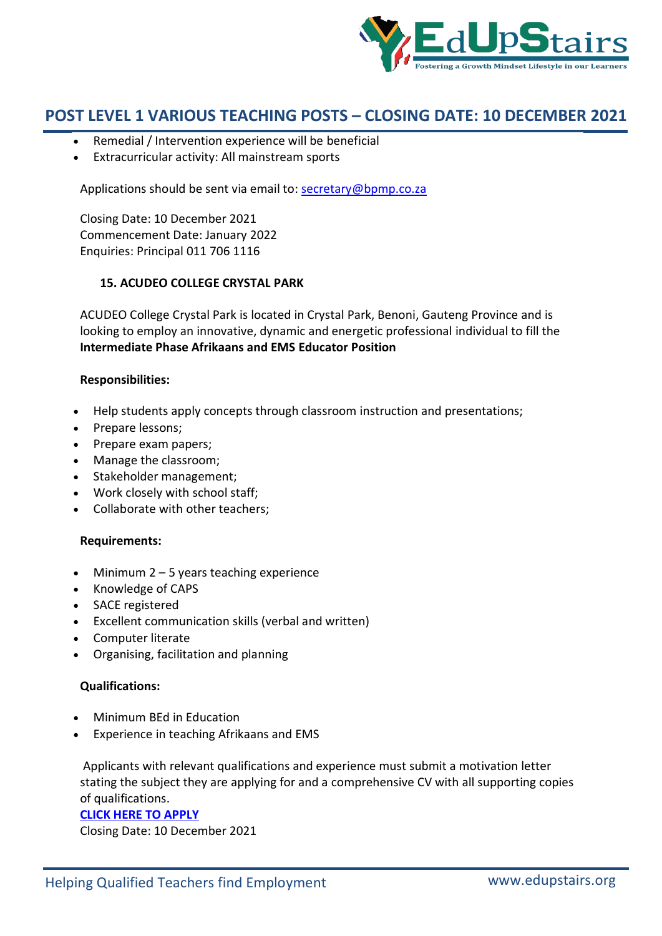

- Remedial / Intervention experience will be beneficial
- Extracurricular activity: All mainstream sports

Applications should be sent via email to: secretary@bpmp.co.za

Closing Date: 10 December 2021 Commencement Date: January 2022 Enquiries: Principal 011 706 1116

### **15. ACUDEO COLLEGE CRYSTAL PARK**

ACUDEO College Crystal Park is located in Crystal Park, Benoni, Gauteng Province and is looking to employ an innovative, dynamic and energetic professional individual to fill the **Intermediate Phase Afrikaans and EMS Educator Position**

### **Responsibilities:**

- Help students apply concepts through classroom instruction and presentations;
- Prepare lessons;
- Prepare exam papers;
- Manage the classroom;
- Stakeholder management;
- Work closely with school staff;
- Collaborate with other teachers;

#### **Requirements:**

- $\bullet$  Minimum 2 5 years teaching experience
- Knowledge of CAPS
- SACE registered
- Excellent communication skills (verbal and written)
- Computer literate
- Organising, facilitation and planning

### **Qualifications:**

- Minimum BEd in Education
- Experience in teaching Afrikaans and EMS

Applicants with relevant qualifications and experience must submit a motivation letter stating the subject they are applying for and a comprehensive CV with all supporting copies of qualifications.

#### **CLICK HERE TO APPLY**

Closing Date: 10 December 2021